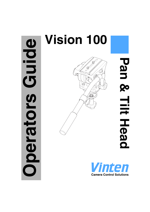# Guide **Operators Guide** perators

# **Vision 100**



**Pan & Tilt Head**Pan & Hit Head

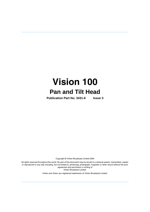# **Vision 100 Pan and Tilt Head**

**Publication Part No. 3431-8 Issue 3**

Copyright © Vinten Broadcast Limited 2004

All rights reserved throughout the world. No part of this document may be stored in a retrieval system, transmitted, copied or reproduced in any way including, but not limited to, photocopy, photograph, magnetic or other record without the prior agreement and permission in writing of Vinten Broadcast Limited.

Vinten and Vision are registered trademarks of Vinten Broadcast Limited.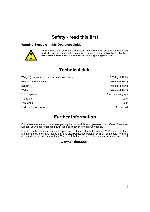# **Safety - read this first**

#### <span id="page-2-0"></span>**Warning Symbols in this Operators Guide**



Where there is a risk of personal injury, injury to others, or damage to the pan and tilt head or associated equipment, comments appear, highlighted by the word **WARNING!** and supported by the warning triangle symbol.

# **Technical data**

<span id="page-2-1"></span>

| Weight (complete with pan bar and bowl clamp) | 3.85 kg (8.47 lb) |
|-----------------------------------------------|-------------------|
| Height to mounting face                       | 150 mm (5.9 in.)  |
| Length                                        | 148 mm (5.8 in.)  |
| Width                                         | 175 mm (6.9 in.)  |
| Load capacity                                 | See balance graph |
| Tilt range                                    | $±90^{\circ}$     |
| Pan range                                     | $360^\circ$       |
| Pedestal/tripod fixing                        | 100 mm ball       |
|                                               |                   |

# **Further information**

<span id="page-2-2"></span>For further information or advice regarding this pan and tilt head, please contact Vinten Broadcast Limited, your local Vinten distributor (see back cover) or visit our website.

For full details on maintenance and spare parts, please refer to the Vision 100 Pan and Tilt Head Maintenance Manual and Illustrated Parts List (Publication Part No. 3466-9), obtainable from Vinten Broadcast Limited or your local Vinten distributor. For information on-line, visit our website at

#### **www.vinten.com.**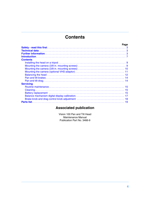# **Contents**

<span id="page-3-0"></span>

|                  | Page |
|------------------|------|
|                  |      |
|                  |      |
|                  |      |
|                  |      |
| <b>Contents</b>  |      |
|                  |      |
|                  |      |
|                  |      |
|                  |      |
|                  |      |
|                  |      |
|                  |      |
| <b>Servicing</b> |      |
|                  |      |
|                  |      |
|                  |      |
|                  |      |
|                  |      |
|                  |      |

# **Associated publication**

Vision 100 Pan and Tilt Head Maintenance Manual Publication Part No. 3466-9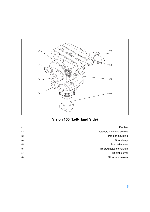<span id="page-4-5"></span><span id="page-4-2"></span>

# <span id="page-4-7"></span><span id="page-4-6"></span><span id="page-4-4"></span><span id="page-4-3"></span><span id="page-4-1"></span><span id="page-4-0"></span>**Vision 100 (Left-Hand Side)**

| Pan bar                   | (1) |
|---------------------------|-----|
| Camera mounting screws    | (2) |
| Pan bar mounting          | (3) |
| Bowl clamp                | (4) |
| Pan brake lever           | (5) |
| Tilt drag adjustment knob | (6) |
| Tilt brake lever          | (7) |
| Slide lock release        | (8) |
|                           |     |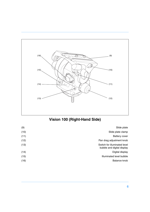<span id="page-5-3"></span><span id="page-5-0"></span>

# <span id="page-5-7"></span><span id="page-5-6"></span><span id="page-5-5"></span><span id="page-5-4"></span><span id="page-5-2"></span><span id="page-5-1"></span>**Vision 100 (Right-Hand Side)**

| (9)  | Slide plate                                                |
|------|------------------------------------------------------------|
| (10) | Slide plate clamp                                          |
| (11) | <b>Battery cover</b>                                       |
| (12) | Pan drag adjustment knob                                   |
| (13) | Switch for illuminated level<br>bubble and digital display |
| (14) | Digital display                                            |
| (15) | Illuminated level bubble                                   |
| (16) | Balance knob                                               |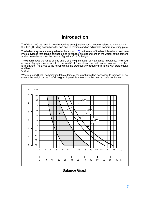# **Introduction**

<span id="page-6-0"></span>The Vision 100 pan and tilt head embodies an adjustable spring counterbalancing mechanism, thin film (TF) drag assemblies for pan and tilt motions and an adjustable camera mounting plate.

The balance system is easily adjusted by a knob  $(16)$  on the rear of the head. Maximum and minimum payloads that can be balanced, and tilt ranges, are depend-ent on the weight of the camera and accessories and on the centre of gravity (C of G) height.

The graph shows the range of load and C of G height that can be maintained in balance. The shaded area of graph corresponds to those load/C of G combinations that can be balanced over the full tilt range. The areas to the right indicate the progressively reducing tilt range with greater load and higher C of G.

Where a load/C of G combination falls outside of the graph it will be necessary to increase or decrease the weight or the C of G height - if possible - to enable the head to balance the load.



**Balance Graph**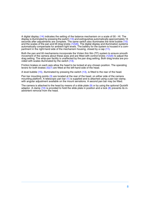A digital display [\(14\)](#page-5-1) indicates the setting of the balance mechanism on a scale of 00 - HI. The display is illuminated by pressing the switch [\(13\)](#page-5-2) and extinguishes automatically approximately 15 seconds after adjustments are complete. The same switch also illuminates the level bubble [\(15\)](#page-5-3) and the scales of the pan and tilt drag knobs  $(12)(6)$  $(12)(6)$ . The digital display and illumination systems automatically compensate for ambient light levels. The battery for the system is housed in a compartment in the right-hand side of the mechanism housing, closed by a cap  $(11)$ .

Both the pan and tilt mechanisms incorporate the Vinten thin film (TF) system to ensure smooth movement of the camera about these axes and are fitted with control knobs  $(12)(6)$  $(12)(6)$  to adjust the drag setting. The whip-pan facility is unaffected by the pan drag setting. Both drag knobs are provided with scales illuminated by the switch [\(13\)](#page-5-2).

Friction brakes on each axis allow the head to be locked at any chosen position. The operating levers for both brakes  $(5)(7)$  $(5)(7)$  are fitted at the left-hand side of the head.

A level bubble [\(15\)](#page-5-3), illuminated by pressing the switch [\(13\)](#page-5-2), is fitted to the rear of the head.

Pan bar mounting points [\(3\)](#page-4-3) are located at the rear of the head, on either side of the camera mounting platform. A telescopic pan bar [\(1\)](#page-4-4) is supplied and is attached using a pan bar clamp, with angular adjustment available on the mount serrations. A second pan bar may be fitted.

The camera is attached to the head by means of a slide plate [\(9\)](#page-5-6) or by using the optional Quickfit adaptor. A clamp  $(10)$  is provided to hold the slide plate in position and a lock  $(8)$  prevents its inadvertent removal from the head.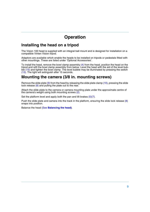# **Operation**

#### <span id="page-8-0"></span>**Installing the head on a tripod**

The Vision 100 head is supplied with an integral ball mount and is designed for installation on a compatible Vinten Vision tripod.

Adaptors are available which enable the heads to be installed on tripods or pedestals fitted with other mountings. These are listed under 'Optional Accessories'.

To install the head, remove the bowl clamp assembly [\(4\)](#page-4-6) from the head, position the head on the tripod and refit the bowl clamp assembly from below. Level the head with the aid of the level bubble [\(15\)](#page-5-3) and tighten the bowl clamp. The level bubble may be illuminated by pressing the switch [\(13\).](#page-5-2) The light will extinguish after 15 seconds.

#### <span id="page-8-1"></span>**Mounting the camera (3/8 in. mounting screws)**

Remove the slide plate  $(9)$  from the head by releasing the slide plate clamp  $(10)$ , pressing the slide lock release  $(8)$  and pulling the plate out to the rear.

Attach the slide plate to the camera or camera mounting plate under the approximate centre of the camera's weight using both mounting screws [\(2\)](#page-4-7).

Set the platform level and apply both the pan and tilt brakes  $(5)(7)$  $(5)(7)$ .

Push the slide plate and camera into the track in the platform, ensuring the slide lock release [\(8\)](#page-4-5) snaps into position.

Balance the head (See **[Balancing the head\)](#page-11-0)**.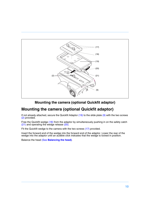<span id="page-9-7"></span><span id="page-9-4"></span>

#### <span id="page-9-6"></span><span id="page-9-5"></span><span id="page-9-3"></span><span id="page-9-2"></span><span id="page-9-1"></span>**Mounting the camera (optional Quickfit adaptor)**

# <span id="page-9-0"></span>**Mounting the camera (optional Quickfit adaptor)**

If not already attached, secure the Quickfit Adaptor [\(19\)](#page-9-1) to the slide plate [\(9\)](#page-9-2) with the two screws [\(2\)](#page-9-3) provided.

Free the Quickfit wedge [\(18\)](#page-9-4) from the adaptor by simultaneously pushing in on the safety catch [\(21\)](#page-9-5) and operating the wedge release [\(20\).](#page-9-6)

Fit the Quickfit wedge to the camera with the two screws [\(17\)](#page-9-7) provided.

Insert the forward end of the wedge into the forward end of the adaptor. Lower the rear of the wedge into the adaptor until an audible click indicates that the wedge is locked in position.

Balance the head (See **[Balancing the head\)](#page-11-0)**.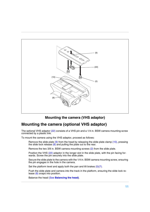<span id="page-10-2"></span>

#### <span id="page-10-5"></span><span id="page-10-4"></span><span id="page-10-3"></span><span id="page-10-1"></span>**Mounting the camera (VHS adaptor)**

#### <span id="page-10-0"></span>**Mounting the camera (optional VHS adaptor)**

The optional VHS adaptor [\(22\)](#page-10-1) consists of a VHS pin and a 1/4 in. BSW camera mounting screw connected by a plastic link.

To mount the camera using the VHS adaptor, proceed as follows:

Remove the slide plate  $(9)$  from the head by releasing the slide plate clamp  $(10)$ , pressing the slide lock release  $(8)$  and pulling the plate out to the rear.

Remove the two 3/8 in. BSW camera mounting screws [\(2\)](#page-10-5) from the slide plate.

Position the VHS [\(22\)](#page-10-1) adaptor in the longer slot in the slide plate, with the pin facing forwards. Screw the pin securely into the slide plate.

Secure the slide plate to the camera with the 1/4 in. BSW camera mounting screw, ensuring the pin engages in the hole in the camera.

Set the platform level and apply both the pan and tilt brakes [\(5\)](#page-4-1)[\(7\).](#page-4-2)

Push the slide plate and camera into the track in the platform, ensuring the slide lock release  $(8)$  snaps into position.

Balance the head (See **[Balancing the head\)](#page-11-0)**.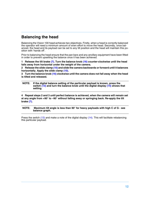# <span id="page-11-0"></span>**Balancing the head**

Balancing the Vision 100 head achieves two objectives. Firstly, when a head is correctly balanced the operator will need a minimum amount of even effort to move the head. Secondly, once balanced, the head and its payload can be set to any tilt position and the head will maintain this position with 'hands off'.

Prior to balancing the head ensure that the pan bars and any ancillary equipment have been fitted in order to prevent upsetting the balance once it has been achieved.

**1 Release the tilt brake [\(7\)](#page-4-2). Turn the balance knob [\(16\)](#page-5-0) counter-clockwise until the head falls away from horizontal under the weight of the camera.**

**2 Release the slide clamp [\(10\)](#page-12-0) and slide the camera backwards or forward until it balances horizontally. Apply the slide clamp [\(10\).](#page-12-0)**

**3 Turn the balance knob [\(16\)](#page-5-0) clockwise until the camera does not fall away when the head is tilted and released.**

**NOTE: If the digital balance setting of the particular payload is known, press the switch [\(13\)](#page-5-2) and turn the balance knob until the digital display [\(14\)](#page-5-1) shows that setting.**

**4 Repeat steps 2 and 3 until perfect balance is achieved, when the camera will remain set at any angle from +90° to –90° without falling away or springing back. Re-apply the tilt brake [\(7\).](#page-4-2)**

#### **NOTE: Maximum tilt angle is less than 90° for heavy payloads with high C of G - see balance graph.**

Press the switch [\(13\)](#page-5-2) and make a note of the digital display [\(14\).](#page-5-1) This will facilitate rebalancing this particular payload.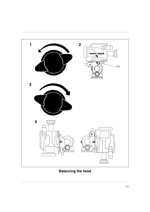<span id="page-12-0"></span>

**Balancing the head**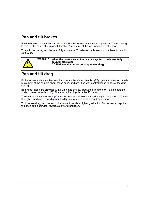# <span id="page-13-0"></span>**Pan and tilt brakes**

Friction brakes on each axis allow the head to be locked at any chosen position. The operating levers for the pan brake [\(5\)](#page-4-1) and tilt brake [\(7\)](#page-4-2) are fitted at the left-hand side of the head.

To apply the brake, turn the lever fully clockwise. To release the brake, turn the lever fully anticlockwise.



**WARNING! When the brakes are not in use, always turn the levers fully counter-clockwise. DO NOT use the brakes to supplement drag.**

# <span id="page-13-1"></span>**Pan and tilt drag**

Both the pan and tilt mechanisms incorporate the Vinten thin film (TF) system to ensure smooth movement of the camera about these axes, and are fitted with control knobs to adjust the drag setting.

Both drag knobs are provided with illuminated scales, graduated from 0 to 9. To illuminate the scales, press the switch [\(13\).](#page-5-2) The lamp will extinguish after 15 seconds.

The tilt drag adjustment knob  $(6)$  is on the left-hand side of the head, the pan drag knob  $(12)$  is on the right -hand side. The whip-pan facility is unaffected by the pan drag setting.

To increase drag, turn the knob clockwise, towards a higher graduation. To decrease drag, turn the knob anti-clockwise, towards a lower graduation.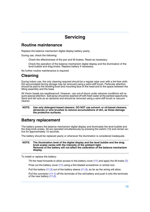# **Servicing**

#### <span id="page-14-1"></span><span id="page-14-0"></span>**Routine maintenance**

Replace the balance mechanism digital display battery yearly.

During use, check the following:

Check the effectiveness of the pan and tilt brakes. Reset as necessary.

Check the operation of the balance mechanism digital display and the illumination of the level bubble and drag knobs. Replace battery if necessary.

No further routine maintenance is required.

# <span id="page-14-2"></span>**Cleaning**

During indoor use, the only cleaning required should be a regular wipe over with a lint-free cloth. Dirt accumulated during storage may be removed using a semi-stiff brush. Particular attention should be paid to the levelling bowl and mounting face of the head and to the space between the tilting assembly and the base.

All Vision heads are weatherproof. However, use out-of-doors under adverse conditions will require special attention. Salt spray should be washed off with fresh water at the earliest opportunity. Sand and dirt acts as an abrasive and should be removed using a semi-stiff brush or vacuum cleaner

#### **NOTE: Use only detergent-based cleaners. DO NOT use solvent- or oil-based cleaners, abrasives or wire brushes to remove accumulations of dirt, as these damage the protective surfaces.**

# <span id="page-14-3"></span>**Battery replacement**

The battery powers the balance mechanism digital display and illuminates the level bubble and the drag knob scales. All are operated simultaneously by pressing the switch (13) and remain active for approximately 15 seconds.

The battery should be replaced yearly or whenever the illumination is considered inadequate.

#### **NOTE: The illumination level of the digital display and the level bubble and the drag knob scales varies with the intensity of the ambient light. Removal of the battery will not affect the calibration of the balance mechanism display.**

To install or replace the battery:

Tilt the head forwards to allow access to the battery cover [\(11\)](#page-15-0) and apply the tilt brake [\(7\)](#page-4-2).

Prise out the battery cover [\(11\)](#page-15-0) using a thin-bladed screwdriver or similar tool.

Pull the battery [\(11.2\)](#page-15-1) out of the battery sleeve [\(11.3\)](#page-15-2), as far as the wiring will allow.

Pull the connector [\(11.1\)](#page-15-3) off the terminals of the old battery and push it onto the terminals of the new battery  $(11.2)$ .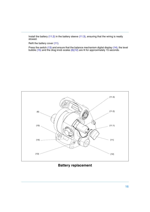Install the battery [\(11.2\)](#page-15-1) in the battery sleeve [\(11.3\)](#page-15-2), ensuring that the wiring is neatly stowed.

Refit the battery cover [\(11\).](#page-15-0)

Press the switch [\(13\)](#page-15-4) and ensure that the balance mechanism digital display [\(14\),](#page-15-5) the level bubble [\(15\)](#page-15-6) and the drag knob scales [\(6\)](#page-15-7)[\(12\)](#page-15-8) are lit for approximately 15 seconds.

<span id="page-15-7"></span><span id="page-15-6"></span>

<span id="page-15-8"></span><span id="page-15-5"></span><span id="page-15-4"></span><span id="page-15-3"></span><span id="page-15-2"></span><span id="page-15-1"></span><span id="page-15-0"></span>**Battery replacement**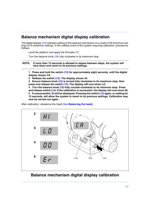#### <span id="page-16-0"></span>**Balance mechanism digital display calibration**

The digital display [\(14\)](#page-16-1) indicates setting of the balance mechanism on a scale of 00 (minimum setting) to HI (maximum setting). In the unlikely event of this system requiring calibration, proceed as follows:

Level the platform and apply the tilt brake [\(7\)](#page-4-2).

Turn the balance knob [\(16\)](#page-16-2) fully clockwise to its maximum stop.

**NOTE: If more than 15 seconds is allowed to elapse between steps, the system will shut down and revert to its previous settings.**

**1 Press and hold the switch [\(13\)](#page-16-3) for approximately eight seconds, until the digital display shows** *CA***.**

**2 Release the switch [\(13\)](#page-16-3). The display shows** *HI***.**

**3 Ensure balance knob [\(16\)](#page-16-2) is turned fully clockwise to its maximum stop, then press and release the switch [\(13\).](#page-16-3) The display will now show** *LO***.**

**4 Turn the balance knob [\(16\)](#page-16-2) fully counter-clockwise to its minimum stop. Press and release switch [\(13\)](#page-16-3). If the calibration is successful, the display will now show** *00***. 5 If unsuccessful,** *Er* **will be displayed. Pressing the switch [\(13\)](#page-16-3) again, or waiting for 15 seconds, will allow the system to revert to its previous settings. Calibration may now be carried out again.**

After calibration, rebalance the head (See **[Balancing the head\)](#page-11-0)**.



#### <span id="page-16-3"></span><span id="page-16-2"></span><span id="page-16-1"></span>**Balance mechanism digital display calibration**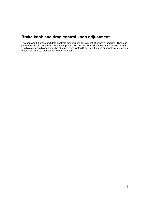# <span id="page-17-0"></span>**Brake knob and drag control knob adjustment**

The pan and tilt brake and drag controls may require adjustment after prolonged use. These adjustments should be carried out by competent persons as detailed in the Maintenance Manual. The Maintenance Manual may be obtained from Vinten Broadcast Limited or your local Vinten distributor or from our website at www.vinten.com.